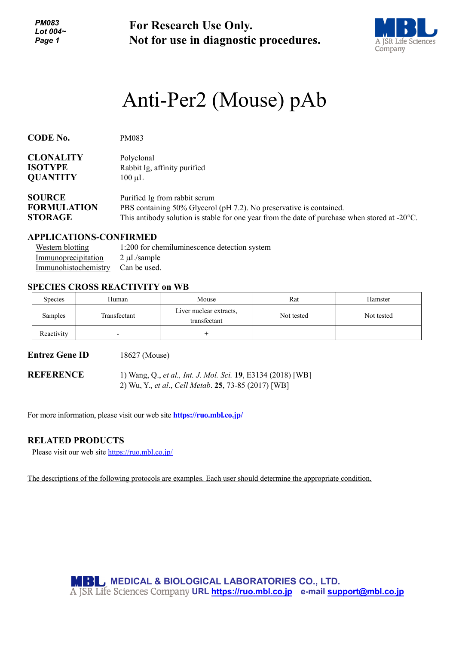*PM083 Lot 004~ Page 1*

**For Research Use Only. Not for use in diagnostic procedures.**



# Anti-Per2 (Mouse) pAb

| <b>CODE No.</b>    | PM083                                                                                                   |
|--------------------|---------------------------------------------------------------------------------------------------------|
| <b>CLONALITY</b>   | Polyclonal                                                                                              |
| <b>ISOTYPE</b>     | Rabbit Ig, affinity purified                                                                            |
| <b>QUANTITY</b>    | $100 \mu L$                                                                                             |
| <b>SOURCE</b>      | Purified Ig from rabbit serum                                                                           |
| <b>FORMULATION</b> | PBS containing 50% Glycerol (pH 7.2). No preservative is contained.                                     |
| <b>STORAGE</b>     | This antibody solution is stable for one year from the date of purchase when stored at $-20^{\circ}$ C. |

### **APPLICATIONS-CONFIRMED**

| Western blotting                  | 1:200 for chemiluminescence detection system |
|-----------------------------------|----------------------------------------------|
| Immunoprecipitation               | $2 \mu L$ /sample                            |
| Immunohistochemistry Can be used. |                                              |

### **SPECIES CROSS REACTIVITY on WB**

| <b>Species</b> | Human        | Mouse                                   | Rat        | Hamster    |
|----------------|--------------|-----------------------------------------|------------|------------|
| Samples        | Transfectant | Liver nuclear extracts,<br>transfectant | Not tested | Not tested |
| Reactivity     | -            |                                         |            |            |

**Entrez Gene ID** 18627 (Mouse)

**REFERENCE** 1) Wang, Q., *et al., Int. J. Mol. Sci.* **19**, E3134 (2018) [WB] 2) Wu, Y., *et al*., *Cell Metab*. **25**, 73-85 (2017) [WB]

For more information, please visit our web site **https://ruo.mbl.co.jp/**

### **RELATED PRODUCTS**

Please visit our web site<https://ruo.mbl.co.jp/>

The descriptions of the following protocols are examples. Each user should determine the appropriate condition.

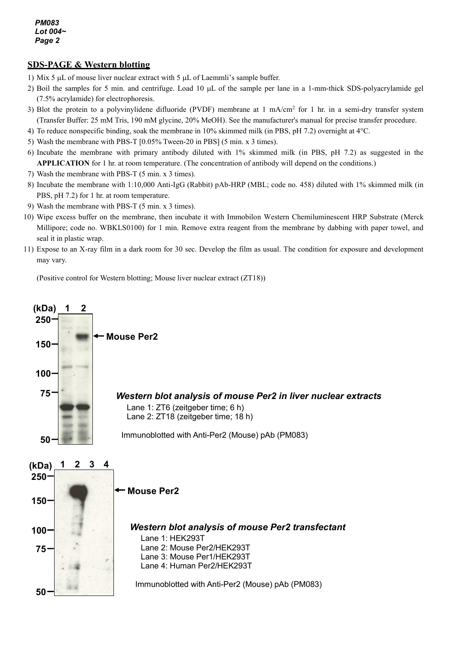## **SDS-PAGE & Western blotting**

- 1) Mix 5 µL of mouse liver nuclear extract with 5 µL of Laemmli's sample buffer.
- 2) Boil the samples for 5 min. and centrifuge. Load 10 µL of the sample per lane in a 1-mm-thick SDS-polyacrylamide gel (7.5% acrylamide) for electrophoresis.
- 3) Blot the protein to a polyvinylidene difluoride (PVDF) membrane at  $1 \text{ mA/cm}^2$  for  $1 \text{ hr}$  in a semi-dry transfer system (Transfer Buffer: 25 mM Tris, 190 mM glycine, 20% MeOH). See the manufacturer's manual for precise transfer procedure.
- 4) To reduce nonspecific binding, soak the membrane in 10% skimmed milk (in PBS, pH 7.2) overnight at 4°C.
- 5) Wash the membrane with PBS-T [0.05% Tween-20 in PBS] (5 min. x 3 times).
- 6) Incubate the membrane with primary antibody diluted with 1% skimmed milk (in PBS, pH 7.2) as suggested in the **APPLICATION** for 1 hr. at room temperature. (The concentration of antibody will depend on the conditions.)
- 7) Wash the membrane with PBS-T (5 min. x 3 times).
- 8) Incubate the membrane with 1:10,000 Anti-IgG (Rabbit) pAb-HRP (MBL; code no. 458) diluted with 1% skimmed milk (in PBS, pH 7.2) for 1 hr. at room temperature.
- 9) Wash the membrane with PBS-T (5 min. x 3 times).
- 10) Wipe excess buffer on the membrane, then incubate it with Immobilon Western Chemiluminescent HRP Substrate (Merck Millipore; code no. WBKLS0100) for 1 min. Remove extra reagent from the membrane by dabbing with paper towel, and seal it in plastic wrap.
- 11) Expose to an X-ray film in a dark room for 30 sec. Develop the film as usual. The condition for exposure and development may vary.

(Positive control for Western blotting; Mouse liver nuclear extract (ZT18))